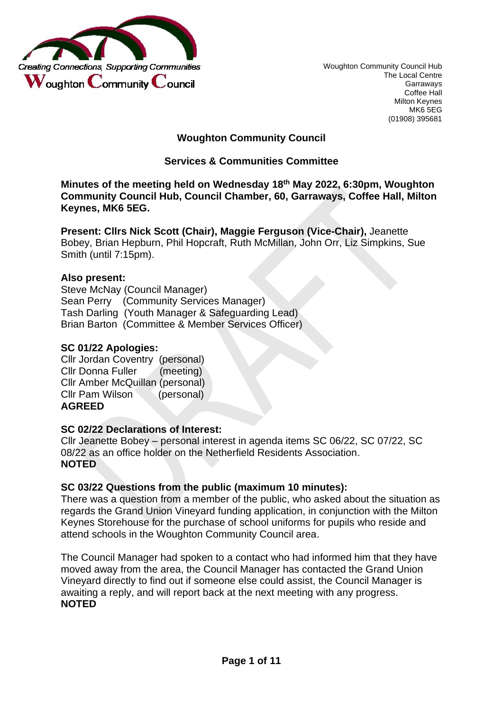

Woughton Community Council Hub The Local Centre Garraways Coffee Hall Milton Keynes MK6 5EG (01908) 395681

## **Woughton Community Council**

## **Services & Communities Committee**

**Minutes of the meeting held on Wednesday 18th May 2022, 6:30pm, Woughton Community Council Hub, Council Chamber, 60, Garraways, Coffee Hall, Milton Keynes, MK6 5EG.** 

**Present: Cllrs Nick Scott (Chair), Maggie Ferguson (Vice-Chair),** Jeanette Bobey, Brian Hepburn, Phil Hopcraft, Ruth McMillan, John Orr, Liz Simpkins, Sue Smith (until 7:15pm).

## **Also present:**

Steve McNay (Council Manager) Sean Perry (Community Services Manager) Tash Darling (Youth Manager & Safeguarding Lead) Brian Barton (Committee & Member Services Officer)

### **SC 01/22 Apologies:**

Cllr Jordan Coventry (personal) Cllr Donna Fuller (meeting) Cllr Amber McQuillan (personal) Cllr Pam Wilson (personal) **AGREED** 

## **SC 02/22 Declarations of Interest:**

Cllr Jeanette Bobey – personal interest in agenda items SC 06/22, SC 07/22, SC 08/22 as an office holder on the Netherfield Residents Association. **NOTED** 

## **SC 03/22 Questions from the public (maximum 10 minutes):**

There was a question from a member of the public, who asked about the situation as regards the Grand Union Vineyard funding application, in conjunction with the Milton Keynes Storehouse for the purchase of school uniforms for pupils who reside and attend schools in the Woughton Community Council area.

The Council Manager had spoken to a contact who had informed him that they have moved away from the area, the Council Manager has contacted the Grand Union Vineyard directly to find out if someone else could assist, the Council Manager is awaiting a reply, and will report back at the next meeting with any progress. **NOTED**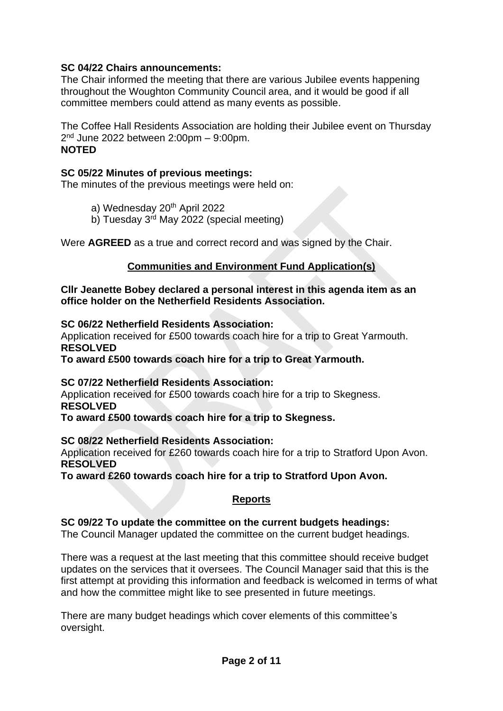# **SC 04/22 Chairs announcements:**

The Chair informed the meeting that there are various Jubilee events happening throughout the Woughton Community Council area, and it would be good if all committee members could attend as many events as possible.

The Coffee Hall Residents Association are holding their Jubilee event on Thursday 2 nd June 2022 between 2:00pm – 9:00pm. **NOTED** 

## **SC 05/22 Minutes of previous meetings:**

The minutes of the previous meetings were held on:

- a) Wednesday 20<sup>th</sup> April 2022
- b) Tuesday 3<sup>rd</sup> May 2022 (special meeting)

Were **AGREED** as a true and correct record and was signed by the Chair.

## **Communities and Environment Fund Application(s)**

**Cllr Jeanette Bobey declared a personal interest in this agenda item as an office holder on the Netherfield Residents Association.** 

### **SC 06/22 Netherfield Residents Association:**

Application received for £500 towards coach hire for a trip to Great Yarmouth. **RESOLVED** 

**To award £500 towards coach hire for a trip to Great Yarmouth.**

## **SC 07/22 Netherfield Residents Association:**

Application received for £500 towards coach hire for a trip to Skegness. **RESOLVED** 

**To award £500 towards coach hire for a trip to Skegness.**

## **SC 08/22 Netherfield Residents Association:**

Application received for £260 towards coach hire for a trip to Stratford Upon Avon. **RESOLVED** 

**To award £260 towards coach hire for a trip to Stratford Upon Avon.** 

## **Reports**

**SC 09/22 To update the committee on the current budgets headings:**  The Council Manager updated the committee on the current budget headings.

There was a request at the last meeting that this committee should receive budget updates on the services that it oversees. The Council Manager said that this is the first attempt at providing this information and feedback is welcomed in terms of what and how the committee might like to see presented in future meetings.

There are many budget headings which cover elements of this committee's oversight.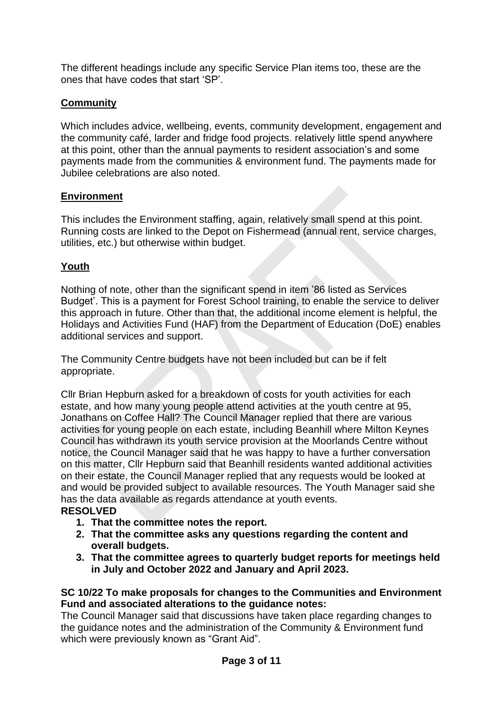The different headings include any specific Service Plan items too, these are the ones that have codes that start 'SP'.

# **Community**

Which includes advice, wellbeing, events, community development, engagement and the community café, larder and fridge food projects. relatively little spend anywhere at this point, other than the annual payments to resident association's and some payments made from the communities & environment fund. The payments made for Jubilee celebrations are also noted.

## **Environment**

This includes the Environment staffing, again, relatively small spend at this point. Running costs are linked to the Depot on Fishermead (annual rent, service charges, utilities, etc.) but otherwise within budget.

# **Youth**

Nothing of note, other than the significant spend in item '86 listed as Services Budget'. This is a payment for Forest School training, to enable the service to deliver this approach in future. Other than that, the additional income element is helpful, the Holidays and Activities Fund (HAF) from the Department of Education (DoE) enables additional services and support.

The Community Centre budgets have not been included but can be if felt appropriate.

Cllr Brian Hepburn asked for a breakdown of costs for youth activities for each estate, and how many young people attend activities at the youth centre at 95, Jonathans on Coffee Hall? The Council Manager replied that there are various activities for young people on each estate, including Beanhill where Milton Keynes Council has withdrawn its youth service provision at the Moorlands Centre without notice, the Council Manager said that he was happy to have a further conversation on this matter, Cllr Hepburn said that Beanhill residents wanted additional activities on their estate, the Council Manager replied that any requests would be looked at and would be provided subject to available resources. The Youth Manager said she has the data available as regards attendance at youth events. **RESOLVED** 

- **1. That the committee notes the report.**
- **2. That the committee asks any questions regarding the content and overall budgets.**
- **3. That the committee agrees to quarterly budget reports for meetings held in July and October 2022 and January and April 2023.**

## **SC 10/22 To make proposals for changes to the Communities and Environment Fund and associated alterations to the guidance notes:**

The Council Manager said that discussions have taken place regarding changes to the guidance notes and the administration of the Community & Environment fund which were previously known as "Grant Aid".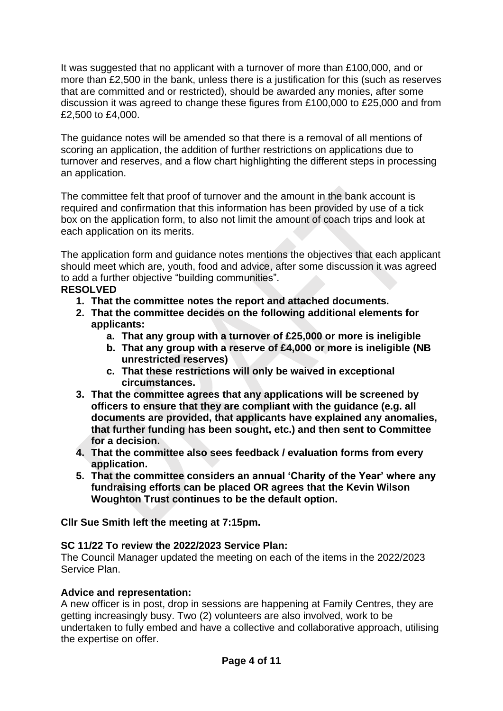It was suggested that no applicant with a turnover of more than £100,000, and or more than £2,500 in the bank, unless there is a justification for this (such as reserves that are committed and or restricted), should be awarded any monies, after some discussion it was agreed to change these figures from £100,000 to £25,000 and from £2,500 to £4,000.

The guidance notes will be amended so that there is a removal of all mentions of scoring an application, the addition of further restrictions on applications due to turnover and reserves, and a flow chart highlighting the different steps in processing an application.

The committee felt that proof of turnover and the amount in the bank account is required and confirmation that this information has been provided by use of a tick box on the application form, to also not limit the amount of coach trips and look at each application on its merits.

The application form and guidance notes mentions the objectives that each applicant should meet which are, youth, food and advice, after some discussion it was agreed to add a further objective "building communities".

# **RESOLVED**

- **1. That the committee notes the report and attached documents.**
- **2. That the committee decides on the following additional elements for applicants:**
	- **a. That any group with a turnover of £25,000 or more is ineligible**
	- **b. That any group with a reserve of £4,000 or more is ineligible (NB unrestricted reserves)**
	- **c. That these restrictions will only be waived in exceptional circumstances.**
- **3. That the committee agrees that any applications will be screened by officers to ensure that they are compliant with the guidance (e.g. all documents are provided, that applicants have explained any anomalies, that further funding has been sought, etc.) and then sent to Committee for a decision.**
- **4. That the committee also sees feedback / evaluation forms from every application.**
- **5. That the committee considers an annual 'Charity of the Year' where any fundraising efforts can be placed OR agrees that the Kevin Wilson Woughton Trust continues to be the default option.**

## **Cllr Sue Smith left the meeting at 7:15pm.**

## **SC 11/22 To review the 2022/2023 Service Plan:**

The Council Manager updated the meeting on each of the items in the 2022/2023 Service Plan.

## **Advice and representation:**

A new officer is in post, drop in sessions are happening at Family Centres, they are getting increasingly busy. Two (2) volunteers are also involved, work to be undertaken to fully embed and have a collective and collaborative approach, utilising the expertise on offer.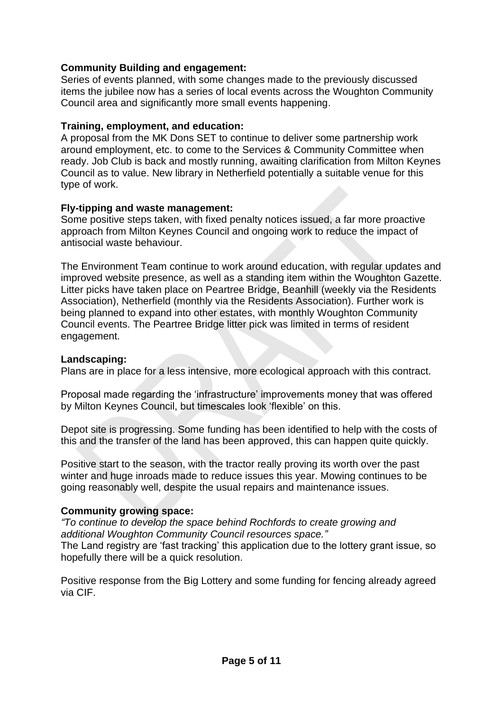## **Community Building and engagement:**

Series of events planned, with some changes made to the previously discussed items the jubilee now has a series of local events across the Woughton Community Council area and significantly more small events happening.

## **Training, employment, and education:**

A proposal from the MK Dons SET to continue to deliver some partnership work around employment, etc. to come to the Services & Community Committee when ready. Job Club is back and mostly running, awaiting clarification from Milton Keynes Council as to value. New library in Netherfield potentially a suitable venue for this type of work.

## **Fly-tipping and waste management:**

Some positive steps taken, with fixed penalty notices issued, a far more proactive approach from Milton Keynes Council and ongoing work to reduce the impact of antisocial waste behaviour.

The Environment Team continue to work around education, with regular updates and improved website presence, as well as a standing item within the Woughton Gazette. Litter picks have taken place on Peartree Bridge, Beanhill (weekly via the Residents Association), Netherfield (monthly via the Residents Association). Further work is being planned to expand into other estates, with monthly Woughton Community Council events. The Peartree Bridge litter pick was limited in terms of resident engagement.

## **Landscaping:**

Plans are in place for a less intensive, more ecological approach with this contract.

Proposal made regarding the 'infrastructure' improvements money that was offered by Milton Keynes Council, but timescales look 'flexible' on this.

Depot site is progressing. Some funding has been identified to help with the costs of this and the transfer of the land has been approved, this can happen quite quickly.

Positive start to the season, with the tractor really proving its worth over the past winter and huge inroads made to reduce issues this year. Mowing continues to be going reasonably well, despite the usual repairs and maintenance issues.

# **Community growing space:**

*"To continue to develop the space behind Rochfords to create growing and additional Woughton Community Council resources space."* The Land registry are 'fast tracking' this application due to the lottery grant issue, so hopefully there will be a quick resolution.

Positive response from the Big Lottery and some funding for fencing already agreed via CIF.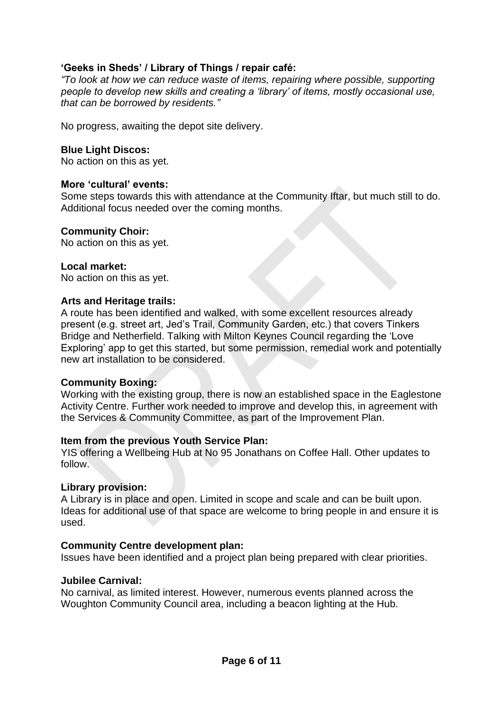## **'Geeks in Sheds' / Library of Things / repair café:**

*"To look at how we can reduce waste of items, repairing where possible, supporting people to develop new skills and creating a 'library' of items, mostly occasional use, that can be borrowed by residents."*

No progress, awaiting the depot site delivery.

### **Blue Light Discos:**

No action on this as yet.

### **More 'cultural' events:**

Some steps towards this with attendance at the Community Iftar, but much still to do. Additional focus needed over the coming months.

### **Community Choir:**

No action on this as yet.

#### **Local market:**

No action on this as yet.

### **Arts and Heritage trails:**

A route has been identified and walked, with some excellent resources already present (e.g. street art, Jed's Trail, Community Garden, etc.) that covers Tinkers Bridge and Netherfield. Talking with Milton Keynes Council regarding the 'Love Exploring' app to get this started, but some permission, remedial work and potentially new art installation to be considered.

#### **Community Boxing:**

Working with the existing group, there is now an established space in the Eaglestone Activity Centre. Further work needed to improve and develop this, in agreement with the Services & Community Committee, as part of the Improvement Plan.

## **Item from the previous Youth Service Plan:**

YIS offering a Wellbeing Hub at No 95 Jonathans on Coffee Hall. Other updates to follow.

#### **Library provision:**

A Library is in place and open. Limited in scope and scale and can be built upon. Ideas for additional use of that space are welcome to bring people in and ensure it is used.

## **Community Centre development plan:**

Issues have been identified and a project plan being prepared with clear priorities.

#### **Jubilee Carnival:**

No carnival, as limited interest. However, numerous events planned across the Woughton Community Council area, including a beacon lighting at the Hub.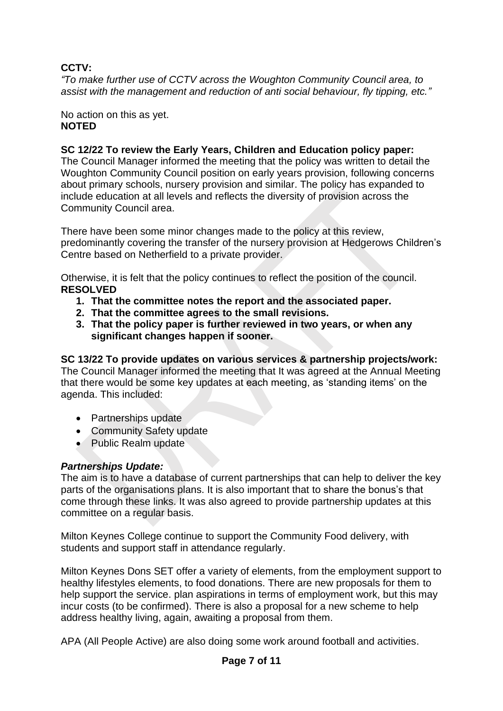# **CCTV:**

*"To make further use of CCTV across the Woughton Community Council area, to assist with the management and reduction of anti social behaviour, fly tipping, etc."*

No action on this as yet. **NOTED** 

# **SC 12/22 To review the Early Years, Children and Education policy paper:**

The Council Manager informed the meeting that the policy was written to detail the Woughton Community Council position on early years provision, following concerns about primary schools, nursery provision and similar. The policy has expanded to include education at all levels and reflects the diversity of provision across the Community Council area.

There have been some minor changes made to the policy at this review, predominantly covering the transfer of the nursery provision at Hedgerows Children's Centre based on Netherfield to a private provider.

Otherwise, it is felt that the policy continues to reflect the position of the council. **RESOLVED**

- **1. That the committee notes the report and the associated paper.**
- **2. That the committee agrees to the small revisions.**
- **3. That the policy paper is further reviewed in two years, or when any significant changes happen if sooner.**

# **SC 13/22 To provide updates on various services & partnership projects/work:**

The Council Manager informed the meeting that It was agreed at the Annual Meeting that there would be some key updates at each meeting, as 'standing items' on the agenda. This included:

- Partnerships update
- Community Safety update
- Public Realm update

# *Partnerships Update:*

The aim is to have a database of current partnerships that can help to deliver the key parts of the organisations plans. It is also important that to share the bonus's that come through these links. It was also agreed to provide partnership updates at this committee on a regular basis.

Milton Keynes College continue to support the Community Food delivery, with students and support staff in attendance regularly.

Milton Keynes Dons SET offer a variety of elements, from the employment support to healthy lifestyles elements, to food donations. There are new proposals for them to help support the service. plan aspirations in terms of employment work, but this may incur costs (to be confirmed). There is also a proposal for a new scheme to help address healthy living, again, awaiting a proposal from them.

APA (All People Active) are also doing some work around football and activities.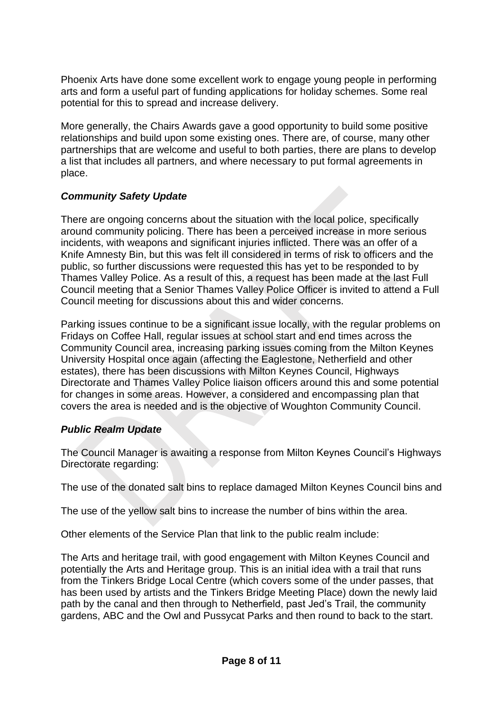Phoenix Arts have done some excellent work to engage young people in performing arts and form a useful part of funding applications for holiday schemes. Some real potential for this to spread and increase delivery.

More generally, the Chairs Awards gave a good opportunity to build some positive relationships and build upon some existing ones. There are, of course, many other partnerships that are welcome and useful to both parties, there are plans to develop a list that includes all partners, and where necessary to put formal agreements in place.

# *Community Safety Update*

There are ongoing concerns about the situation with the local police, specifically around community policing. There has been a perceived increase in more serious incidents, with weapons and significant injuries inflicted. There was an offer of a Knife Amnesty Bin, but this was felt ill considered in terms of risk to officers and the public, so further discussions were requested this has yet to be responded to by Thames Valley Police. As a result of this, a request has been made at the last Full Council meeting that a Senior Thames Valley Police Officer is invited to attend a Full Council meeting for discussions about this and wider concerns.

Parking issues continue to be a significant issue locally, with the regular problems on Fridays on Coffee Hall, regular issues at school start and end times across the Community Council area, increasing parking issues coming from the Milton Keynes University Hospital once again (affecting the Eaglestone, Netherfield and other estates), there has been discussions with Milton Keynes Council, Highways Directorate and Thames Valley Police liaison officers around this and some potential for changes in some areas. However, a considered and encompassing plan that covers the area is needed and is the objective of Woughton Community Council.

# *Public Realm Update*

The Council Manager is awaiting a response from Milton Keynes Council's Highways Directorate regarding:

The use of the donated salt bins to replace damaged Milton Keynes Council bins and

The use of the yellow salt bins to increase the number of bins within the area.

Other elements of the Service Plan that link to the public realm include:

The Arts and heritage trail, with good engagement with Milton Keynes Council and potentially the Arts and Heritage group. This is an initial idea with a trail that runs from the Tinkers Bridge Local Centre (which covers some of the under passes, that has been used by artists and the Tinkers Bridge Meeting Place) down the newly laid path by the canal and then through to Netherfield, past Jed's Trail, the community gardens, ABC and the Owl and Pussycat Parks and then round to back to the start.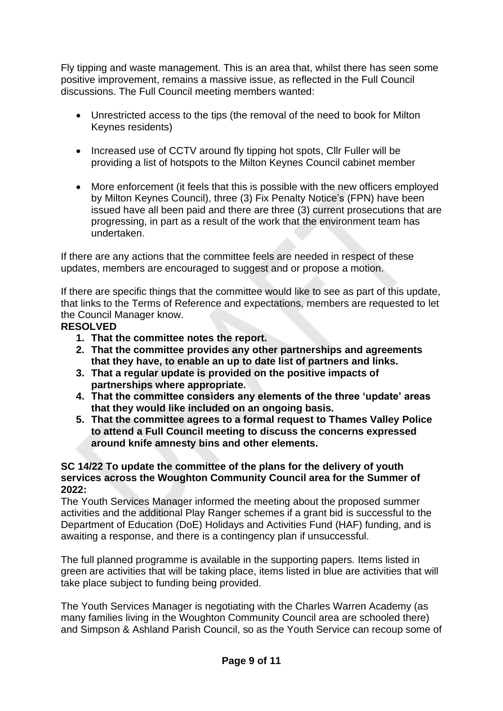Fly tipping and waste management. This is an area that, whilst there has seen some positive improvement, remains a massive issue, as reflected in the Full Council discussions. The Full Council meeting members wanted:

- Unrestricted access to the tips (the removal of the need to book for Milton Keynes residents)
- Increased use of CCTV around fly tipping hot spots, CIIr Fuller will be providing a list of hotspots to the Milton Keynes Council cabinet member
- More enforcement (it feels that this is possible with the new officers employed by Milton Keynes Council), three (3) Fix Penalty Notice's (FPN) have been issued have all been paid and there are three (3) current prosecutions that are progressing, in part as a result of the work that the environment team has undertaken.

If there are any actions that the committee feels are needed in respect of these updates, members are encouraged to suggest and or propose a motion.

If there are specific things that the committee would like to see as part of this update, that links to the Terms of Reference and expectations, members are requested to let the Council Manager know.

# **RESOLVED**

- **1. That the committee notes the report.**
- **2. That the committee provides any other partnerships and agreements that they have, to enable an up to date list of partners and links.**
- **3. That a regular update is provided on the positive impacts of partnerships where appropriate.**
- **4. That the committee considers any elements of the three 'update' areas that they would like included on an ongoing basis.**
- **5. That the committee agrees to a formal request to Thames Valley Police to attend a Full Council meeting to discuss the concerns expressed around knife amnesty bins and other elements.**

## **SC 14/22 To update the committee of the plans for the delivery of youth services across the Woughton Community Council area for the Summer of 2022:**

The Youth Services Manager informed the meeting about the proposed summer activities and the additional Play Ranger schemes if a grant bid is successful to the Department of Education (DoE) Holidays and Activities Fund (HAF) funding, and is awaiting a response, and there is a contingency plan if unsuccessful.

The full planned programme is available in the supporting papers. Items listed in green are activities that will be taking place, items listed in blue are activities that will take place subject to funding being provided.

The Youth Services Manager is negotiating with the Charles Warren Academy (as many families living in the Woughton Community Council area are schooled there) and Simpson & Ashland Parish Council, so as the Youth Service can recoup some of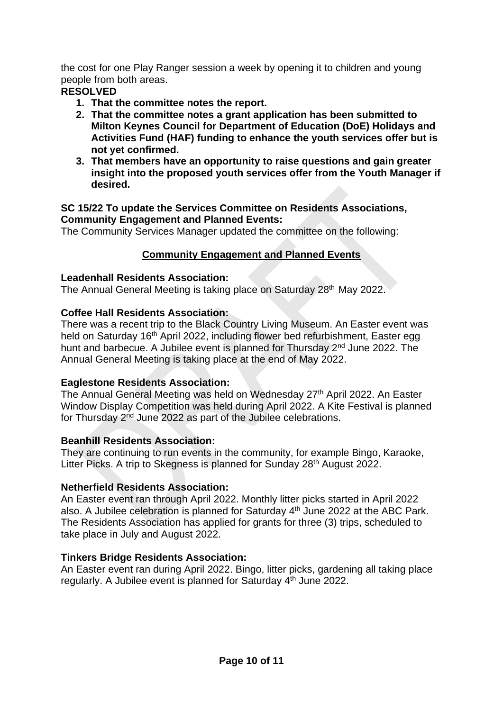the cost for one Play Ranger session a week by opening it to children and young people from both areas.

# **RESOLVED**

- **1. That the committee notes the report.**
- **2. That the committee notes a grant application has been submitted to Milton Keynes Council for Department of Education (DoE) Holidays and Activities Fund (HAF) funding to enhance the youth services offer but is not yet confirmed.**
- **3. That members have an opportunity to raise questions and gain greater insight into the proposed youth services offer from the Youth Manager if desired.**

## **SC 15/22 To update the Services Committee on Residents Associations, Community Engagement and Planned Events:**

The Community Services Manager updated the committee on the following:

# **Community Engagement and Planned Events**

# **Leadenhall Residents Association:**

The Annual General Meeting is taking place on Saturday 28<sup>th</sup> May 2022.

# **Coffee Hall Residents Association:**

There was a recent trip to the Black Country Living Museum. An Easter event was held on Saturday 16<sup>th</sup> April 2022, including flower bed refurbishment, Easter egg hunt and barbecue. A Jubilee event is planned for Thursday 2<sup>nd</sup> June 2022. The Annual General Meeting is taking place at the end of May 2022.

# **Eaglestone Residents Association:**

The Annual General Meeting was held on Wednesday 27<sup>th</sup> April 2022. An Easter Window Display Competition was held during April 2022. A Kite Festival is planned for Thursday 2nd June 2022 as part of the Jubilee celebrations.

# **Beanhill Residents Association:**

They are continuing to run events in the community, for example Bingo, Karaoke, Litter Picks. A trip to Skegness is planned for Sunday 28<sup>th</sup> August 2022.

# **Netherfield Residents Association:**

An Easter event ran through April 2022. Monthly litter picks started in April 2022 also. A Jubilee celebration is planned for Saturday  $4<sup>th</sup>$  June 2022 at the ABC Park. The Residents Association has applied for grants for three (3) trips, scheduled to take place in July and August 2022.

# **Tinkers Bridge Residents Association:**

An Easter event ran during April 2022. Bingo, litter picks, gardening all taking place regularly. A Jubilee event is planned for Saturday 4<sup>th</sup> June 2022.